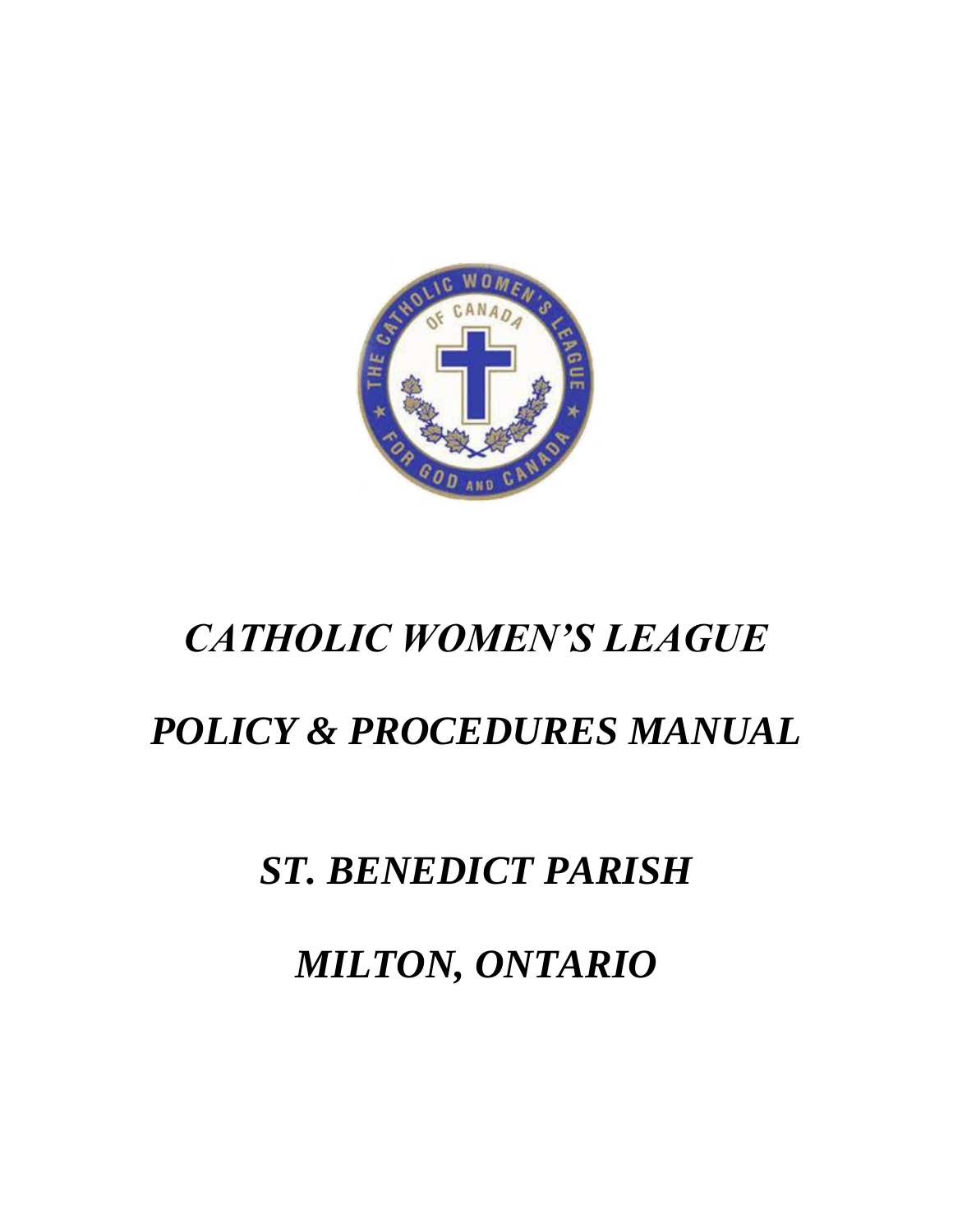

# *CATHOLIC WOMEN'S LEAGUE*

# *POLICY & PROCEDURES MANUAL*

# *ST. BENEDICT PARISH*

*MILTON, ONTARIO*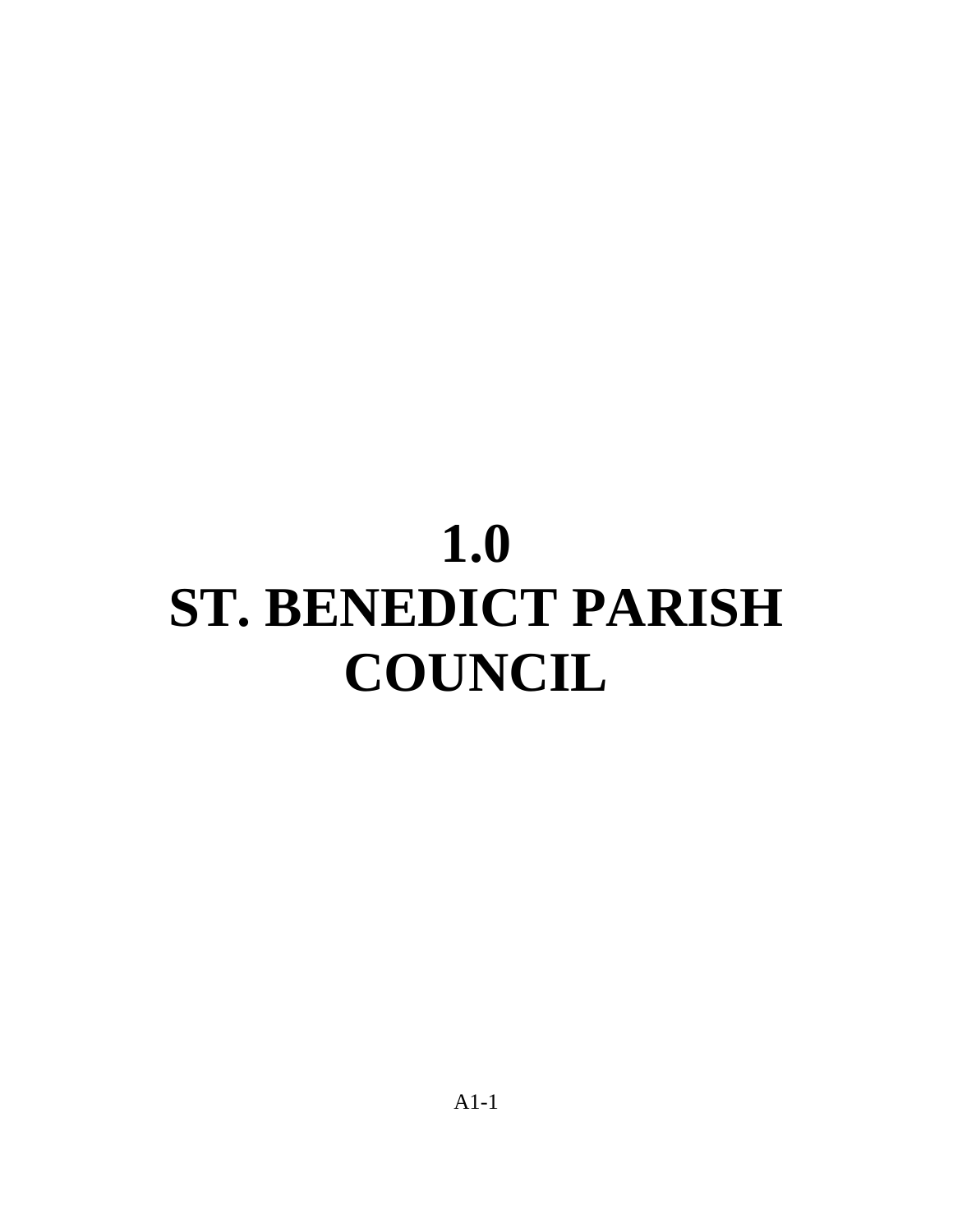# **1.0 ST. BENEDICT PARISH COUNCIL**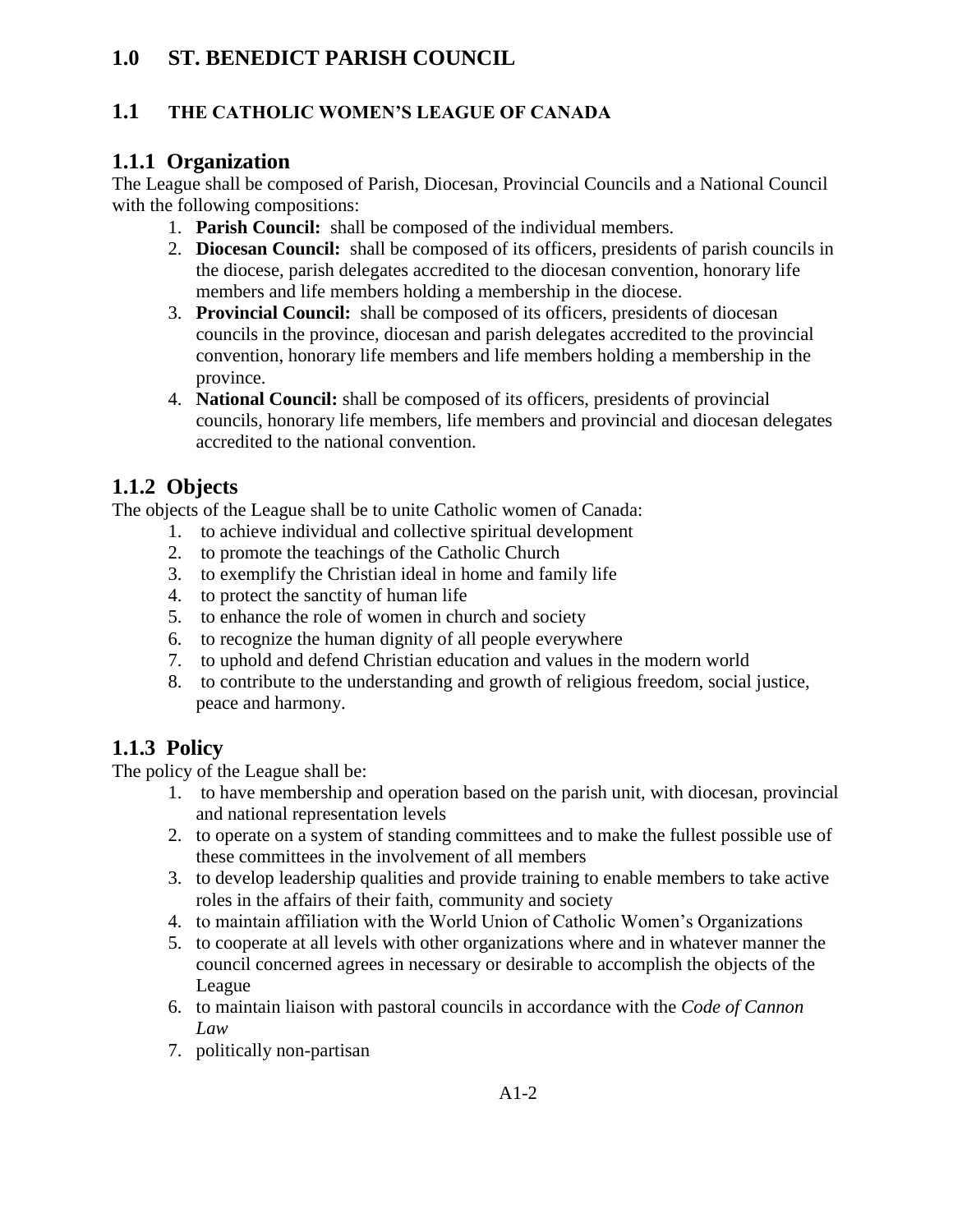# **1.0 ST. BENEDICT PARISH COUNCIL**

#### **1.1 THE CATHOLIC WOMEN'S LEAGUE OF CANADA**

#### **1.1.1 Organization**

The League shall be composed of Parish, Diocesan, Provincial Councils and a National Council with the following compositions:

- 1. **Parish Council:** shall be composed of the individual members.
- 2. **Diocesan Council:** shall be composed of its officers, presidents of parish councils in the diocese, parish delegates accredited to the diocesan convention, honorary life members and life members holding a membership in the diocese.
- 3. **Provincial Council:** shall be composed of its officers, presidents of diocesan councils in the province, diocesan and parish delegates accredited to the provincial convention, honorary life members and life members holding a membership in the province.
- 4. **National Council:** shall be composed of its officers, presidents of provincial councils, honorary life members, life members and provincial and diocesan delegates accredited to the national convention.

#### **1.1.2 Objects**

The objects of the League shall be to unite Catholic women of Canada:

- 1. to achieve individual and collective spiritual development
- 2. to promote the teachings of the Catholic Church
- 3. to exemplify the Christian ideal in home and family life
- 4. to protect the sanctity of human life
- 5. to enhance the role of women in church and society
- 6. to recognize the human dignity of all people everywhere
- 7. to uphold and defend Christian education and values in the modern world
- 8. to contribute to the understanding and growth of religious freedom, social justice, peace and harmony.

# **1.1.3 Policy**

The policy of the League shall be:

- 1. to have membership and operation based on the parish unit, with diocesan, provincial and national representation levels
- 2. to operate on a system of standing committees and to make the fullest possible use of these committees in the involvement of all members
- 3. to develop leadership qualities and provide training to enable members to take active roles in the affairs of their faith, community and society
- 4. to maintain affiliation with the World Union of Catholic Women's Organizations
- 5. to cooperate at all levels with other organizations where and in whatever manner the council concerned agrees in necessary or desirable to accomplish the objects of the League
- 6. to maintain liaison with pastoral councils in accordance with the *Code of Cannon Law*
- 7. politically non-partisan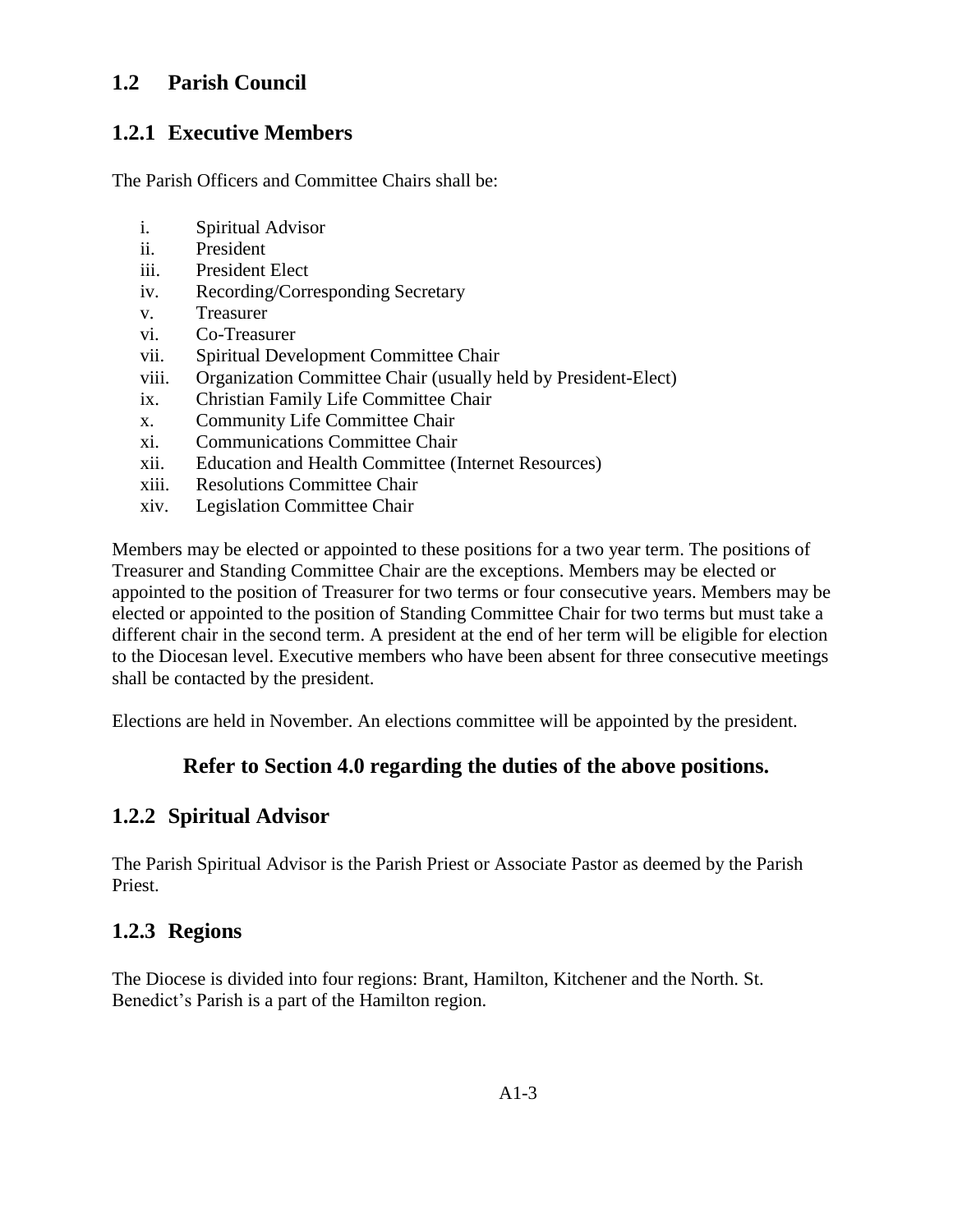#### **1.2 Parish Council**

#### **1.2.1 Executive Members**

The Parish Officers and Committee Chairs shall be:

- i. Spiritual Advisor
- ii. President
- iii. President Elect
- iv. Recording/Corresponding Secretary
- v. Treasurer
- vi. Co-Treasurer
- vii. Spiritual Development Committee Chair
- viii. Organization Committee Chair (usually held by President-Elect)
- ix. Christian Family Life Committee Chair
- x. Community Life Committee Chair
- xi. Communications Committee Chair
- xii. Education and Health Committee (Internet Resources)
- xiii. Resolutions Committee Chair
- xiv. Legislation Committee Chair

Members may be elected or appointed to these positions for a two year term. The positions of Treasurer and Standing Committee Chair are the exceptions. Members may be elected or appointed to the position of Treasurer for two terms or four consecutive years. Members may be elected or appointed to the position of Standing Committee Chair for two terms but must take a different chair in the second term. A president at the end of her term will be eligible for election to the Diocesan level. Executive members who have been absent for three consecutive meetings shall be contacted by the president.

Elections are held in November. An elections committee will be appointed by the president.

# **Refer to Section 4.0 regarding the duties of the above positions.**

# **1.2.2 Spiritual Advisor**

The Parish Spiritual Advisor is the Parish Priest or Associate Pastor as deemed by the Parish Priest.

# **1.2.3 Regions**

The Diocese is divided into four regions: Brant, Hamilton, Kitchener and the North. St. Benedict's Parish is a part of the Hamilton region.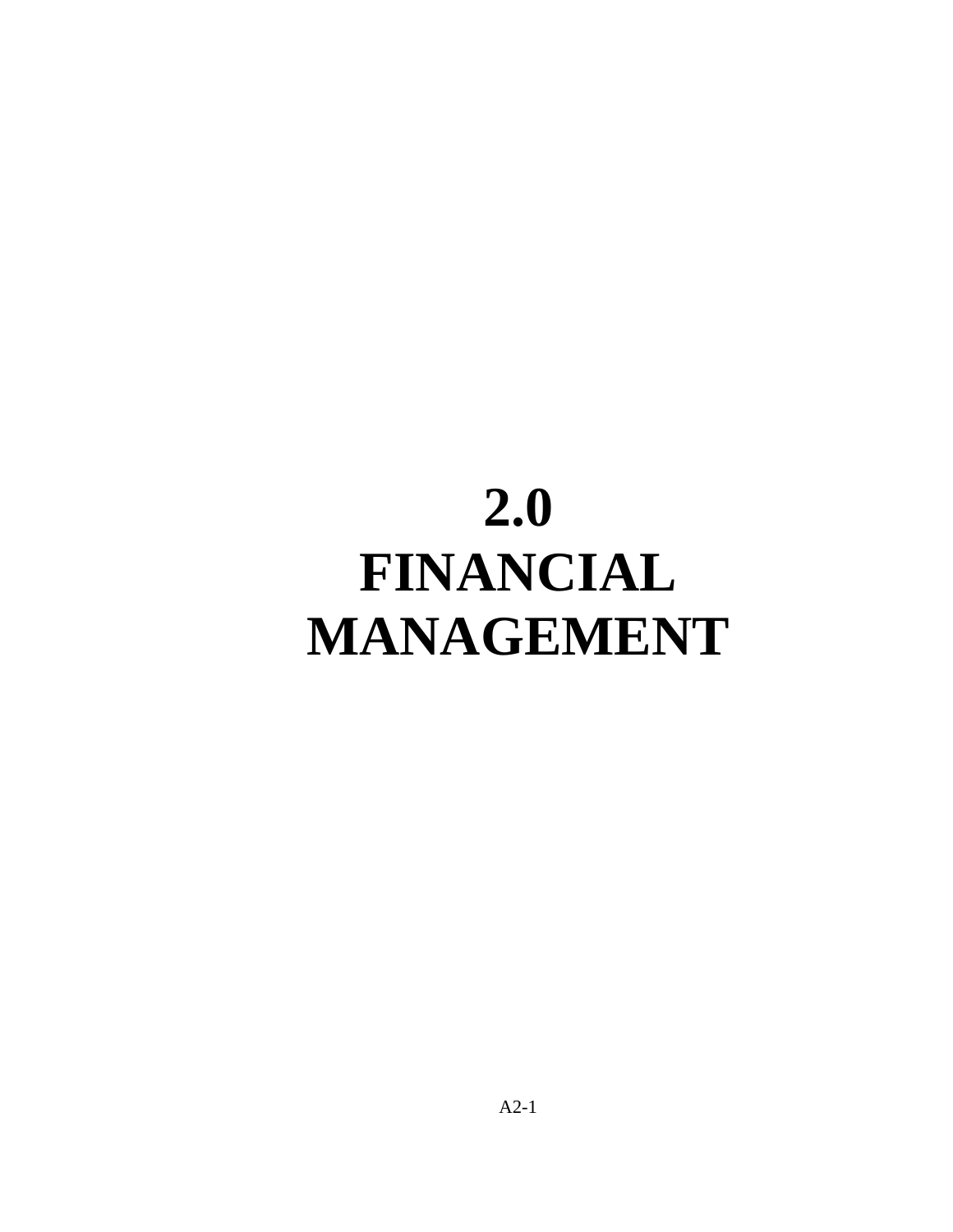# **2.0 FINANCIAL MANAGEMENT**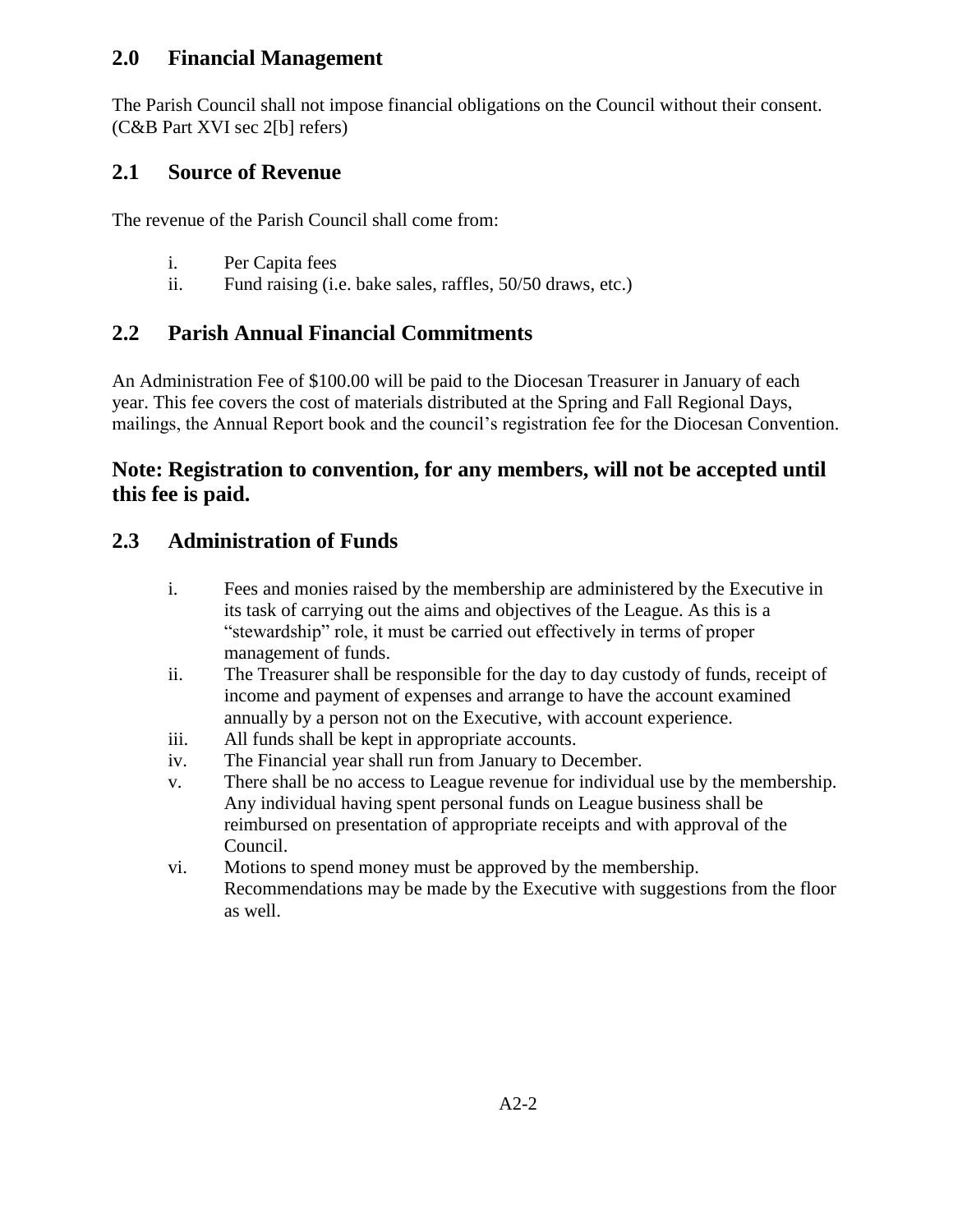#### **2.0 Financial Management**

The Parish Council shall not impose financial obligations on the Council without their consent. (C&B Part XVI sec 2[b] refers)

#### **2.1 Source of Revenue**

The revenue of the Parish Council shall come from:

- i. Per Capita fees
- ii. Fund raising (i.e. bake sales, raffles, 50/50 draws, etc.)

# **2.2 Parish Annual Financial Commitments**

An Administration Fee of \$100.00 will be paid to the Diocesan Treasurer in January of each year. This fee covers the cost of materials distributed at the Spring and Fall Regional Days, mailings, the Annual Report book and the council's registration fee for the Diocesan Convention.

#### **Note: Registration to convention, for any members, will not be accepted until this fee is paid.**

#### **2.3 Administration of Funds**

- i. Fees and monies raised by the membership are administered by the Executive in its task of carrying out the aims and objectives of the League. As this is a "stewardship" role, it must be carried out effectively in terms of proper management of funds.
- ii. The Treasurer shall be responsible for the day to day custody of funds, receipt of income and payment of expenses and arrange to have the account examined annually by a person not on the Executive, with account experience.
- iii. All funds shall be kept in appropriate accounts.
- iv. The Financial year shall run from January to December.
- v. There shall be no access to League revenue for individual use by the membership. Any individual having spent personal funds on League business shall be reimbursed on presentation of appropriate receipts and with approval of the Council.
- vi. Motions to spend money must be approved by the membership. Recommendations may be made by the Executive with suggestions from the floor as well.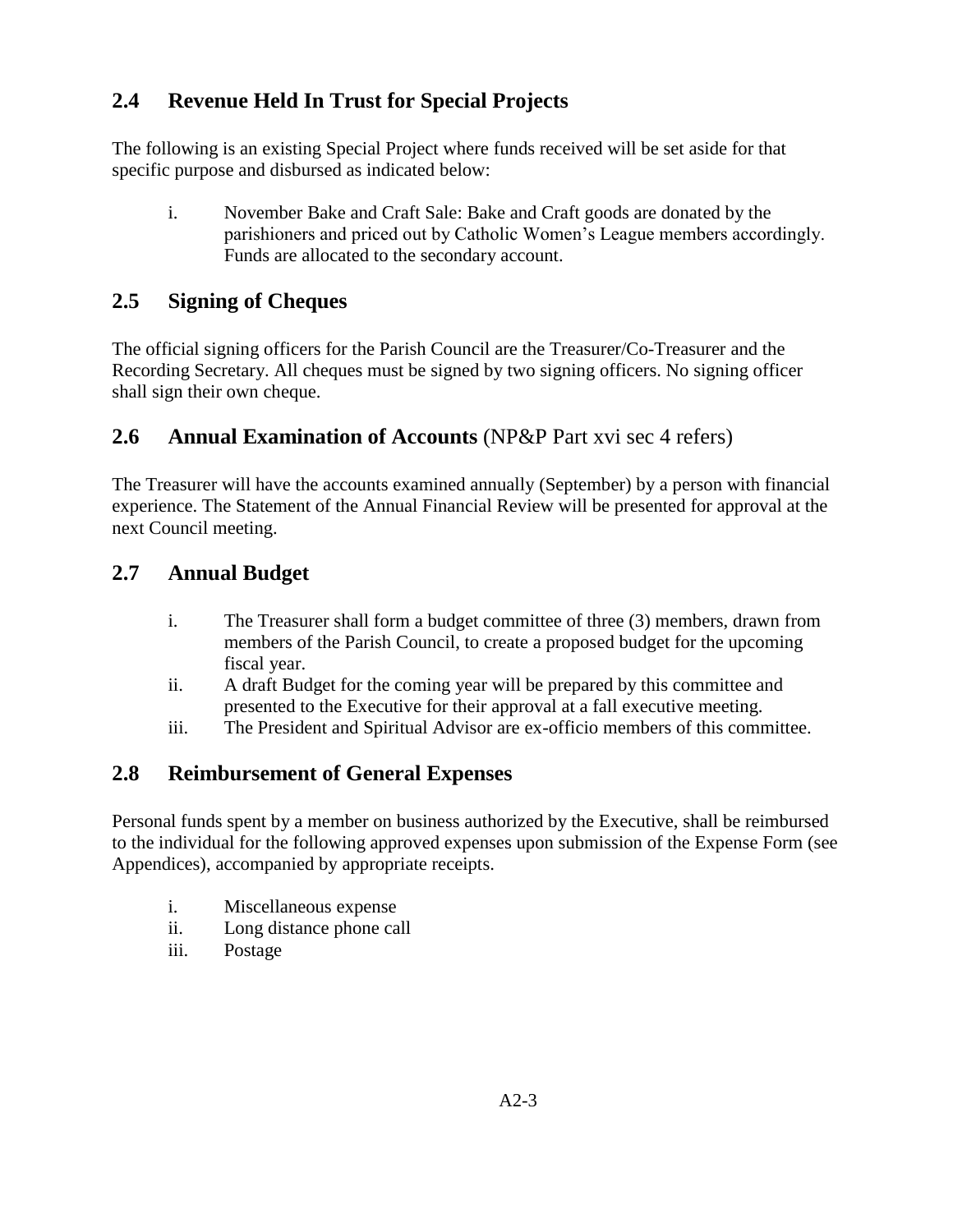# **2.4 Revenue Held In Trust for Special Projects**

The following is an existing Special Project where funds received will be set aside for that specific purpose and disbursed as indicated below:

i. November Bake and Craft Sale: Bake and Craft goods are donated by the parishioners and priced out by Catholic Women's League members accordingly. Funds are allocated to the secondary account.

#### **2.5 Signing of Cheques**

The official signing officers for the Parish Council are the Treasurer/Co-Treasurer and the Recording Secretary. All cheques must be signed by two signing officers. No signing officer shall sign their own cheque.

#### **2.6 Annual Examination of Accounts** (NP&P Part xvi sec 4 refers)

The Treasurer will have the accounts examined annually (September) by a person with financial experience. The Statement of the Annual Financial Review will be presented for approval at the next Council meeting.

#### **2.7 Annual Budget**

- i. The Treasurer shall form a budget committee of three (3) members, drawn from members of the Parish Council, to create a proposed budget for the upcoming fiscal year.
- ii. A draft Budget for the coming year will be prepared by this committee and presented to the Executive for their approval at a fall executive meeting.
- iii. The President and Spiritual Advisor are ex-officio members of this committee.

# **2.8 Reimbursement of General Expenses**

Personal funds spent by a member on business authorized by the Executive, shall be reimbursed to the individual for the following approved expenses upon submission of the Expense Form (see Appendices), accompanied by appropriate receipts.

- i. Miscellaneous expense
- ii. Long distance phone call
- iii. Postage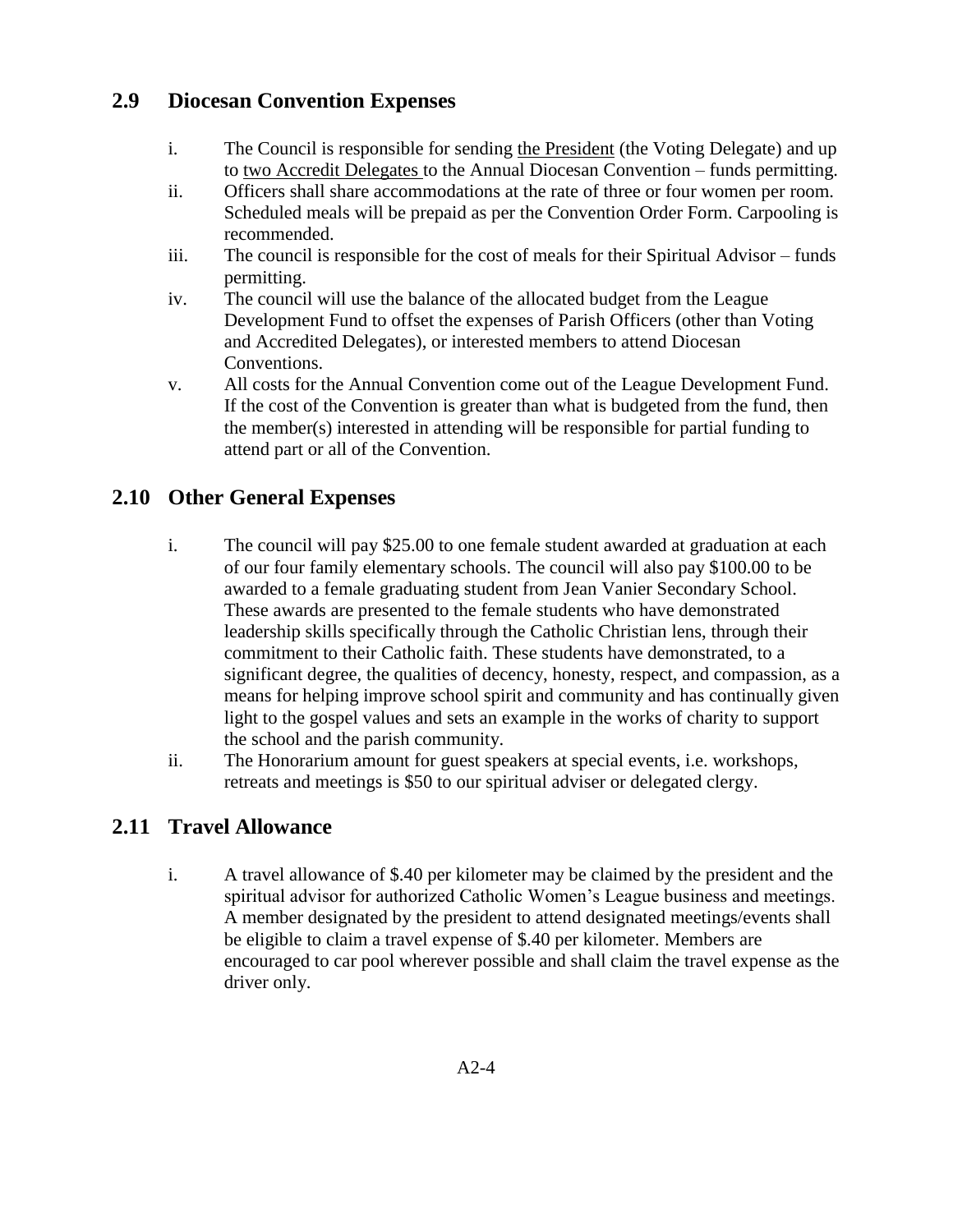#### **2.9 Diocesan Convention Expenses**

- i. The Council is responsible for sending the President (the Voting Delegate) and up to two Accredit Delegates to the Annual Diocesan Convention – funds permitting.
- ii. Officers shall share accommodations at the rate of three or four women per room. Scheduled meals will be prepaid as per the Convention Order Form. Carpooling is recommended.
- iii. The council is responsible for the cost of meals for their Spiritual Advisor funds permitting.
- iv. The council will use the balance of the allocated budget from the League Development Fund to offset the expenses of Parish Officers (other than Voting and Accredited Delegates), or interested members to attend Diocesan Conventions.
- v. All costs for the Annual Convention come out of the League Development Fund. If the cost of the Convention is greater than what is budgeted from the fund, then the member(s) interested in attending will be responsible for partial funding to attend part or all of the Convention.

# **2.10 Other General Expenses**

- i. The council will pay \$25.00 to one female student awarded at graduation at each of our four family elementary schools. The council will also pay \$100.00 to be awarded to a female graduating student from Jean Vanier Secondary School. These awards are presented to the female students who have demonstrated leadership skills specifically through the Catholic Christian lens, through their commitment to their Catholic faith. These students have demonstrated, to a significant degree, the qualities of decency, honesty, respect, and compassion, as a means for helping improve school spirit and community and has continually given light to the gospel values and sets an example in the works of charity to support the school and the parish community.
- ii. The Honorarium amount for guest speakers at special events, i.e. workshops, retreats and meetings is \$50 to our spiritual adviser or delegated clergy.

# **2.11 Travel Allowance**

i. A travel allowance of \$.40 per kilometer may be claimed by the president and the spiritual advisor for authorized Catholic Women's League business and meetings. A member designated by the president to attend designated meetings/events shall be eligible to claim a travel expense of \$.40 per kilometer. Members are encouraged to car pool wherever possible and shall claim the travel expense as the driver only.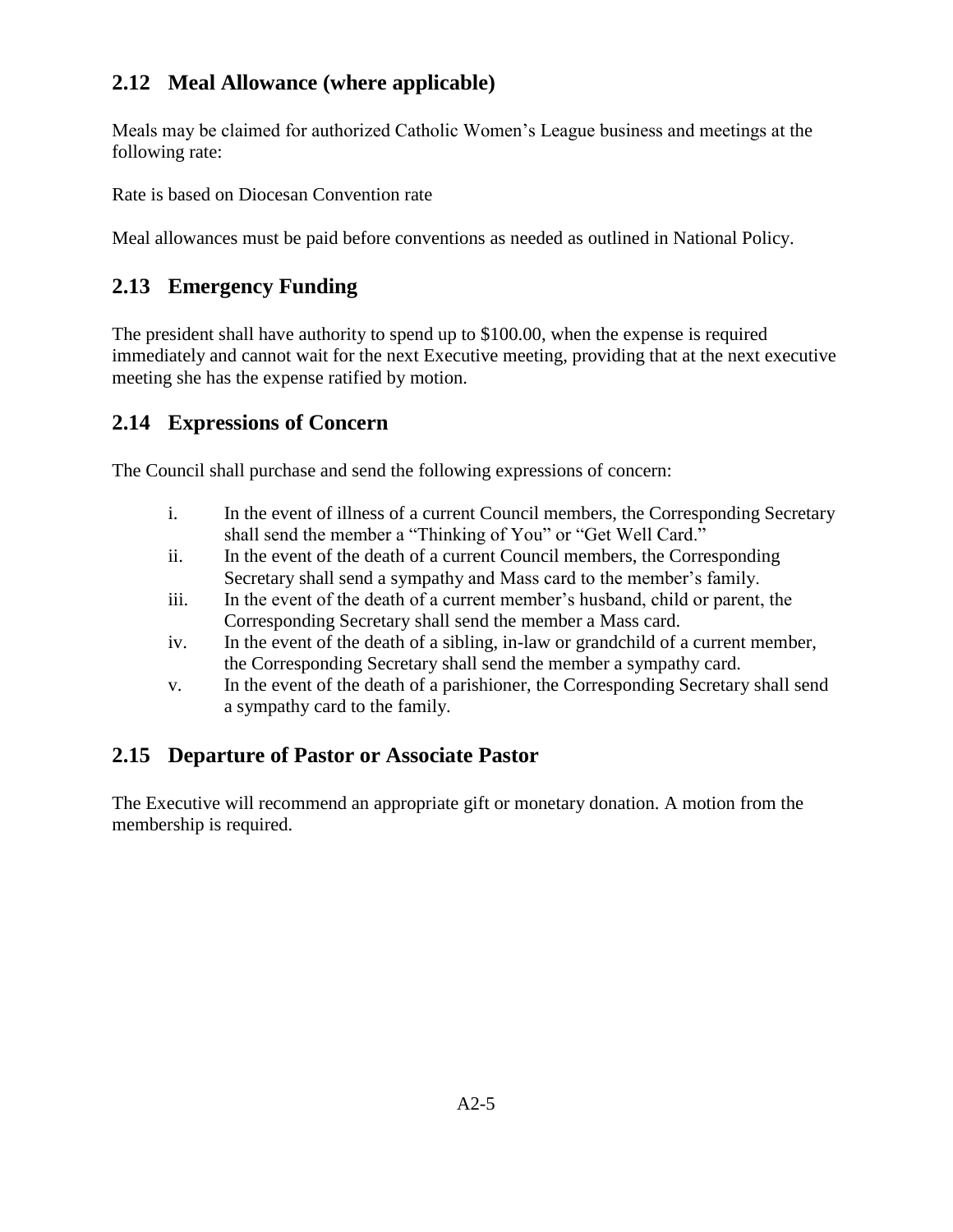# **2.12 Meal Allowance (where applicable)**

Meals may be claimed for authorized Catholic Women's League business and meetings at the following rate:

Rate is based on Diocesan Convention rate

Meal allowances must be paid before conventions as needed as outlined in National Policy.

#### **2.13 Emergency Funding**

The president shall have authority to spend up to \$100.00, when the expense is required immediately and cannot wait for the next Executive meeting, providing that at the next executive meeting she has the expense ratified by motion.

#### **2.14 Expressions of Concern**

The Council shall purchase and send the following expressions of concern:

- i. In the event of illness of a current Council members, the Corresponding Secretary shall send the member a "Thinking of You" or "Get Well Card."
- ii. In the event of the death of a current Council members, the Corresponding Secretary shall send a sympathy and Mass card to the member's family.
- iii. In the event of the death of a current member's husband, child or parent, the Corresponding Secretary shall send the member a Mass card.
- iv. In the event of the death of a sibling, in-law or grandchild of a current member, the Corresponding Secretary shall send the member a sympathy card.
- v. In the event of the death of a parishioner, the Corresponding Secretary shall send a sympathy card to the family.

#### **2.15 Departure of Pastor or Associate Pastor**

The Executive will recommend an appropriate gift or monetary donation. A motion from the membership is required.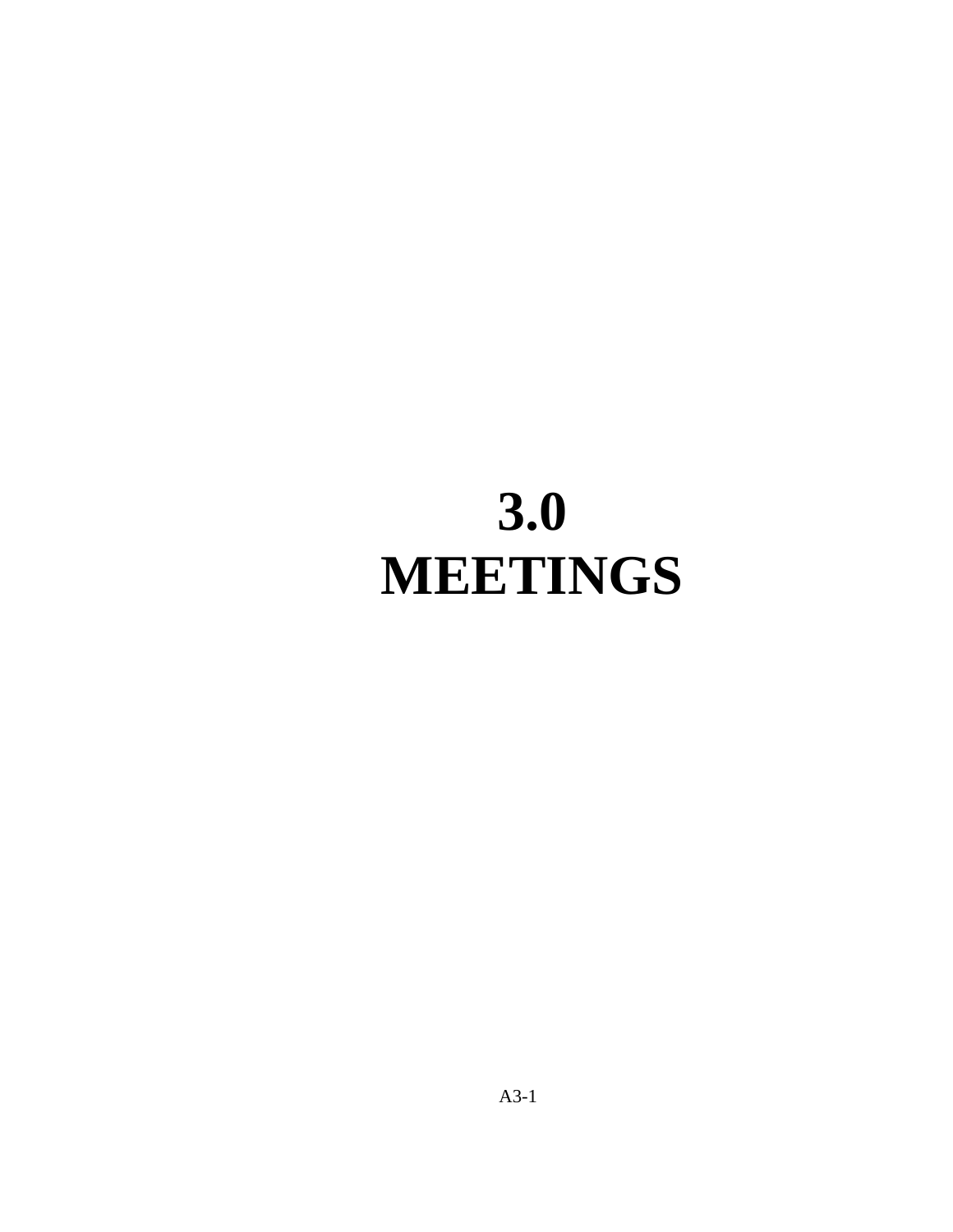# **3.0 MEETINGS**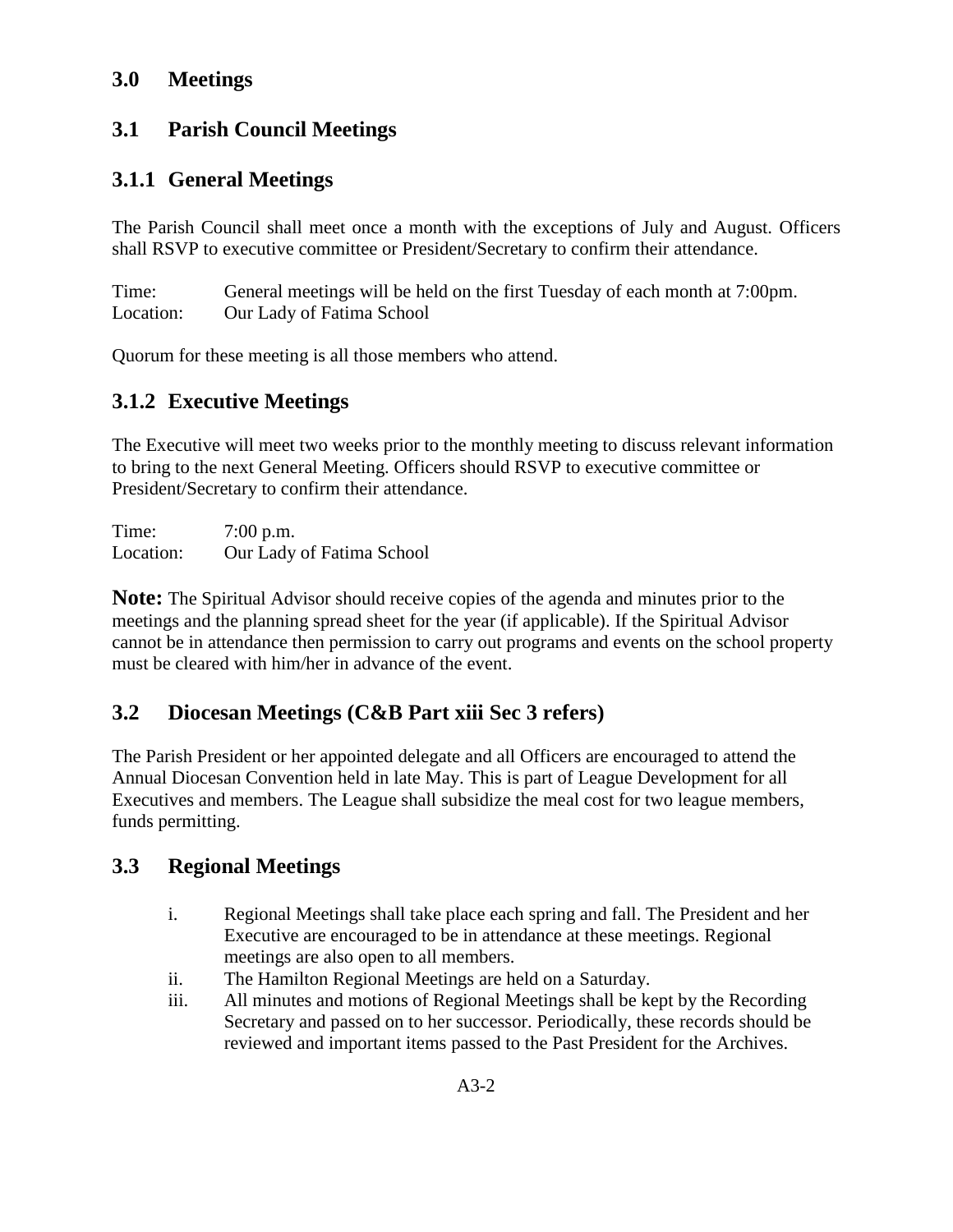#### **3.0 Meetings**

#### **3.1 Parish Council Meetings**

#### **3.1.1 General Meetings**

The Parish Council shall meet once a month with the exceptions of July and August. Officers shall RSVP to executive committee or President/Secretary to confirm their attendance.

Time: General meetings will be held on the first Tuesday of each month at 7:00pm. Location: Our Lady of Fatima School

Quorum for these meeting is all those members who attend.

# **3.1.2 Executive Meetings**

The Executive will meet two weeks prior to the monthly meeting to discuss relevant information to bring to the next General Meeting. Officers should RSVP to executive committee or President/Secretary to confirm their attendance.

Time: 7:00 p.m. Location: Our Lady of Fatima School

**Note:** The Spiritual Advisor should receive copies of the agenda and minutes prior to the meetings and the planning spread sheet for the year (if applicable). If the Spiritual Advisor cannot be in attendance then permission to carry out programs and events on the school property must be cleared with him/her in advance of the event.

# **3.2 Diocesan Meetings (C&B Part xiii Sec 3 refers)**

The Parish President or her appointed delegate and all Officers are encouraged to attend the Annual Diocesan Convention held in late May. This is part of League Development for all Executives and members. The League shall subsidize the meal cost for two league members, funds permitting.

# **3.3 Regional Meetings**

- i. Regional Meetings shall take place each spring and fall. The President and her Executive are encouraged to be in attendance at these meetings. Regional meetings are also open to all members.
- ii. The Hamilton Regional Meetings are held on a Saturday.
- iii. All minutes and motions of Regional Meetings shall be kept by the Recording Secretary and passed on to her successor. Periodically, these records should be reviewed and important items passed to the Past President for the Archives.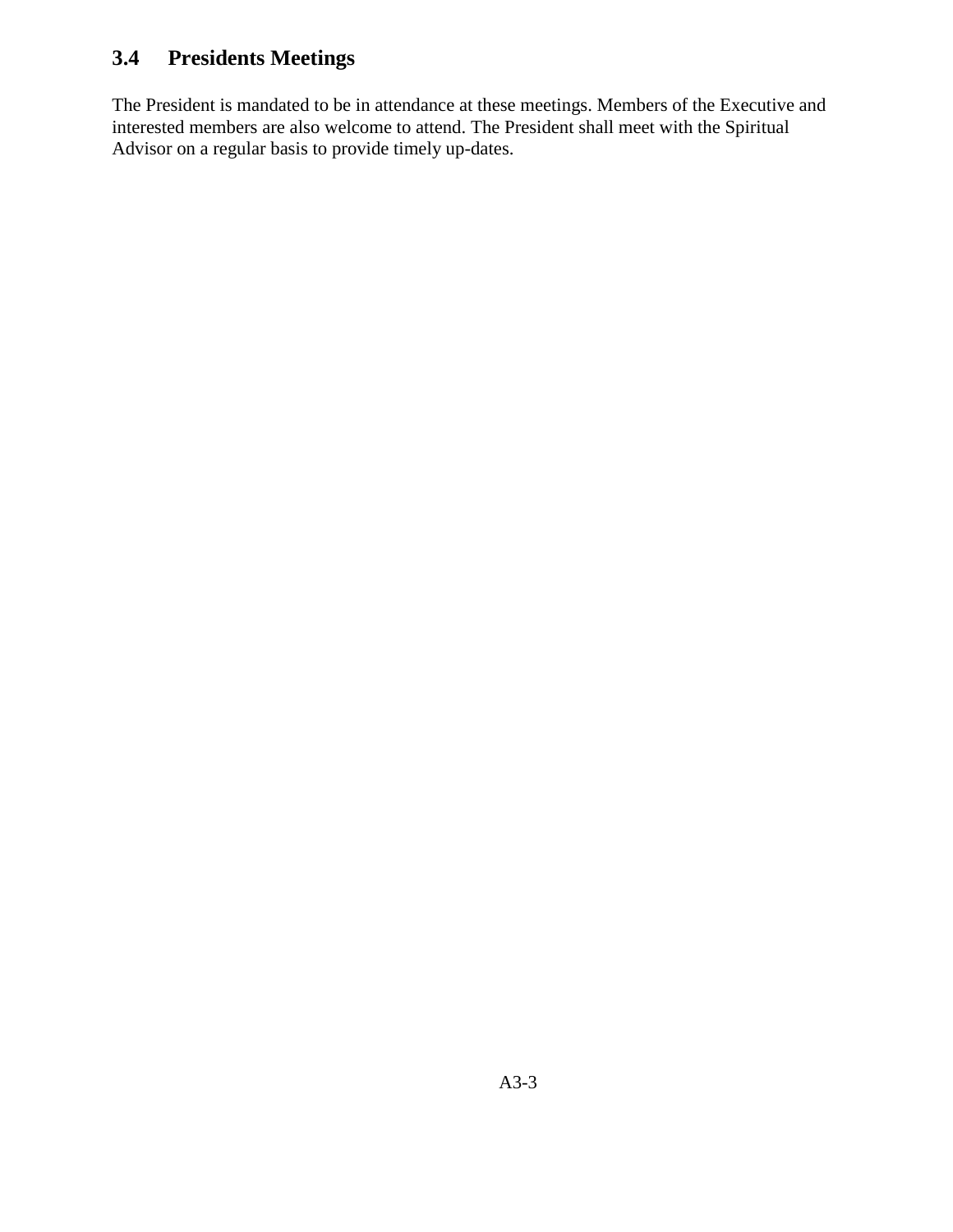# **3.4 Presidents Meetings**

The President is mandated to be in attendance at these meetings. Members of the Executive and interested members are also welcome to attend. The President shall meet with the Spiritual Advisor on a regular basis to provide timely up-dates.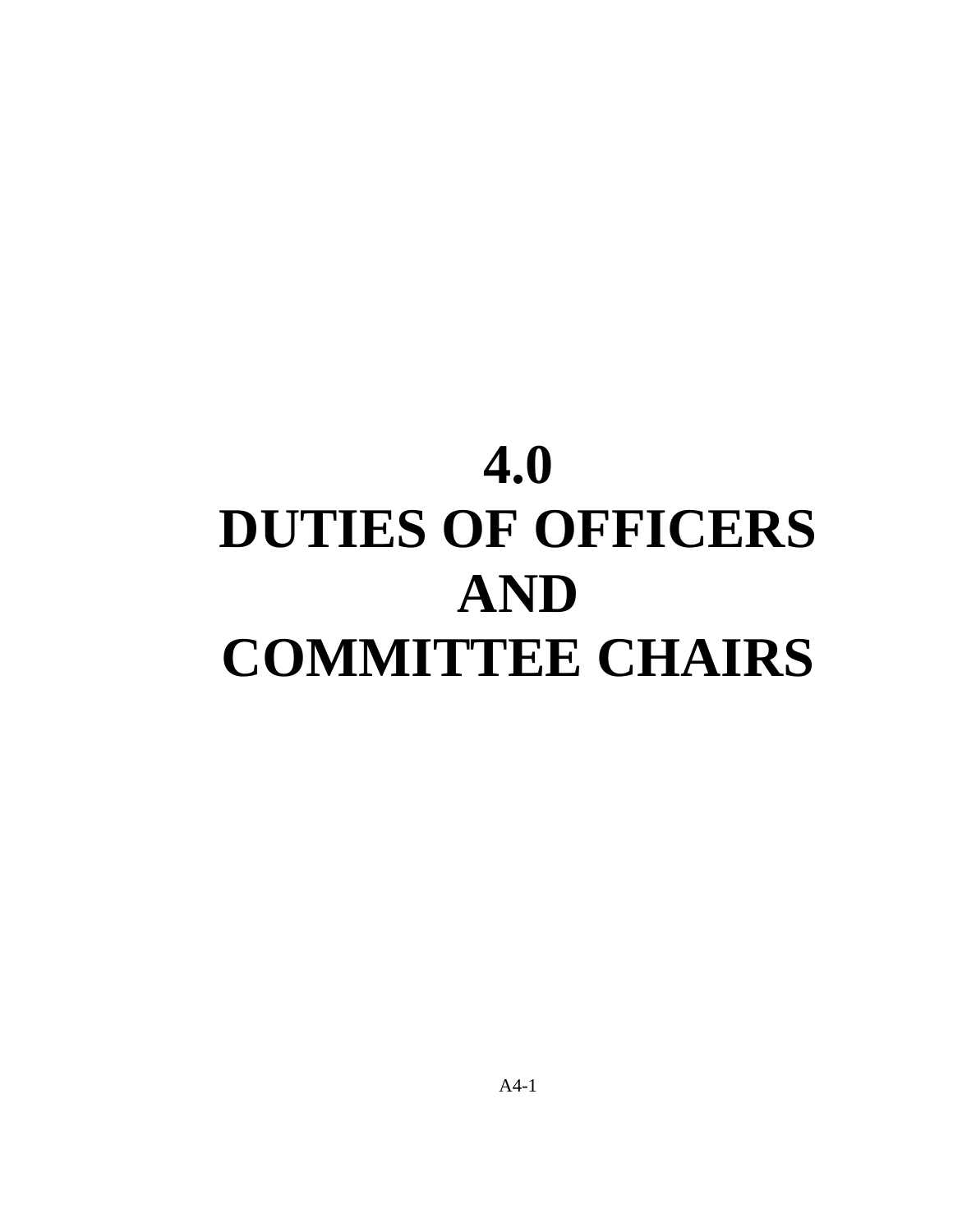# **4.0 DUTIES OF OFFICERS AND COMMITTEE CHAIRS**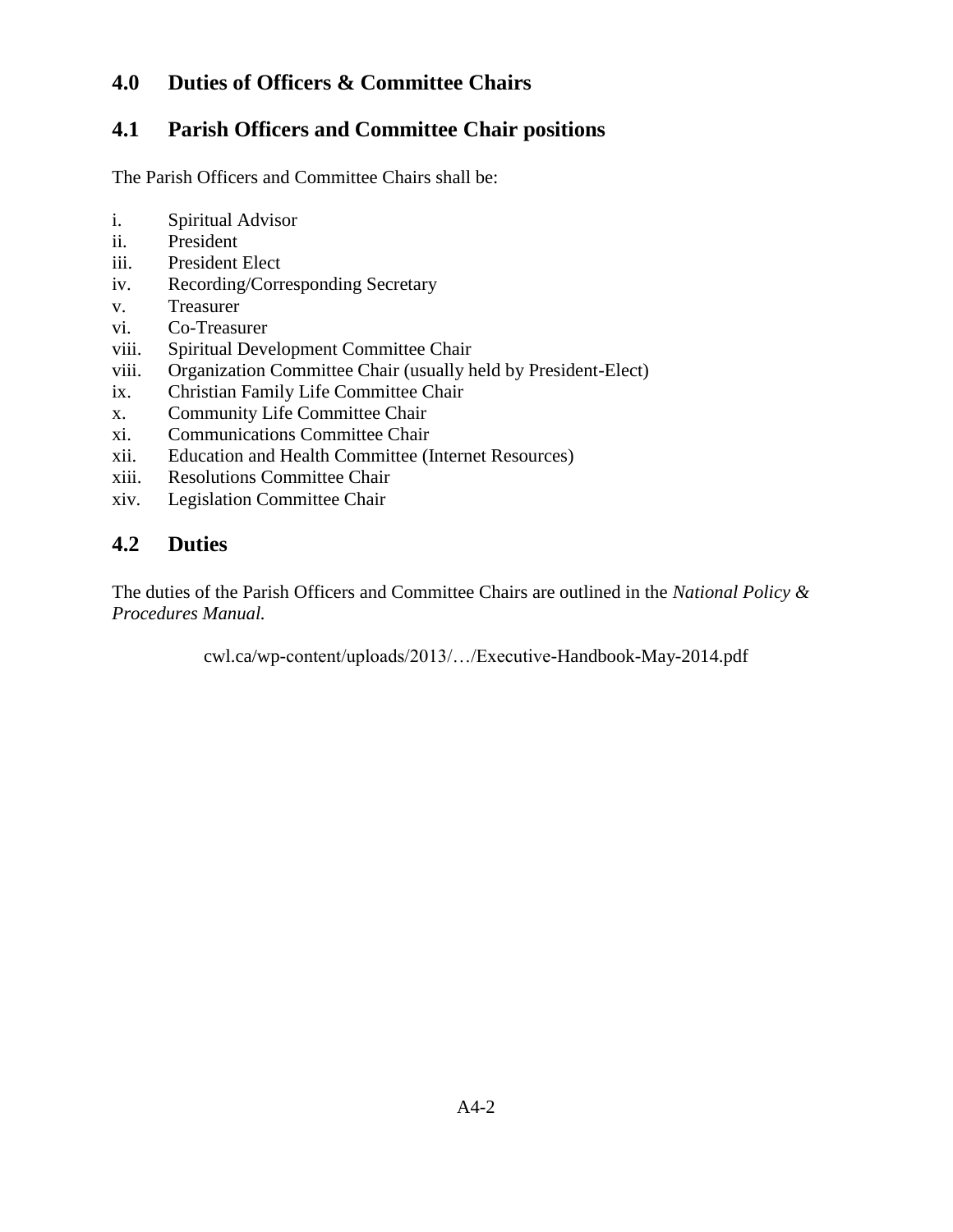#### **4.0 Duties of Officers & Committee Chairs**

#### **4.1 Parish Officers and Committee Chair positions**

The Parish Officers and Committee Chairs shall be:

- i. Spiritual Advisor
- ii. President
- iii. President Elect
- iv. Recording/Corresponding Secretary
- v. Treasurer
- vi. Co-Treasurer
- viii. Spiritual Development Committee Chair
- viii. Organization Committee Chair (usually held by President-Elect)
- ix. Christian Family Life Committee Chair
- x. Community Life Committee Chair
- xi. Communications Committee Chair
- xii. Education and Health Committee (Internet Resources)
- xiii. Resolutions Committee Chair
- xiv. Legislation Committee Chair

#### **4.2 Duties**

The duties of the Parish Officers and Committee Chairs are outlined in the *National Policy & Procedures Manual.* 

cwl.ca/wp-content/uploads/2013/…/Executive-Handbook-May-2014.pdf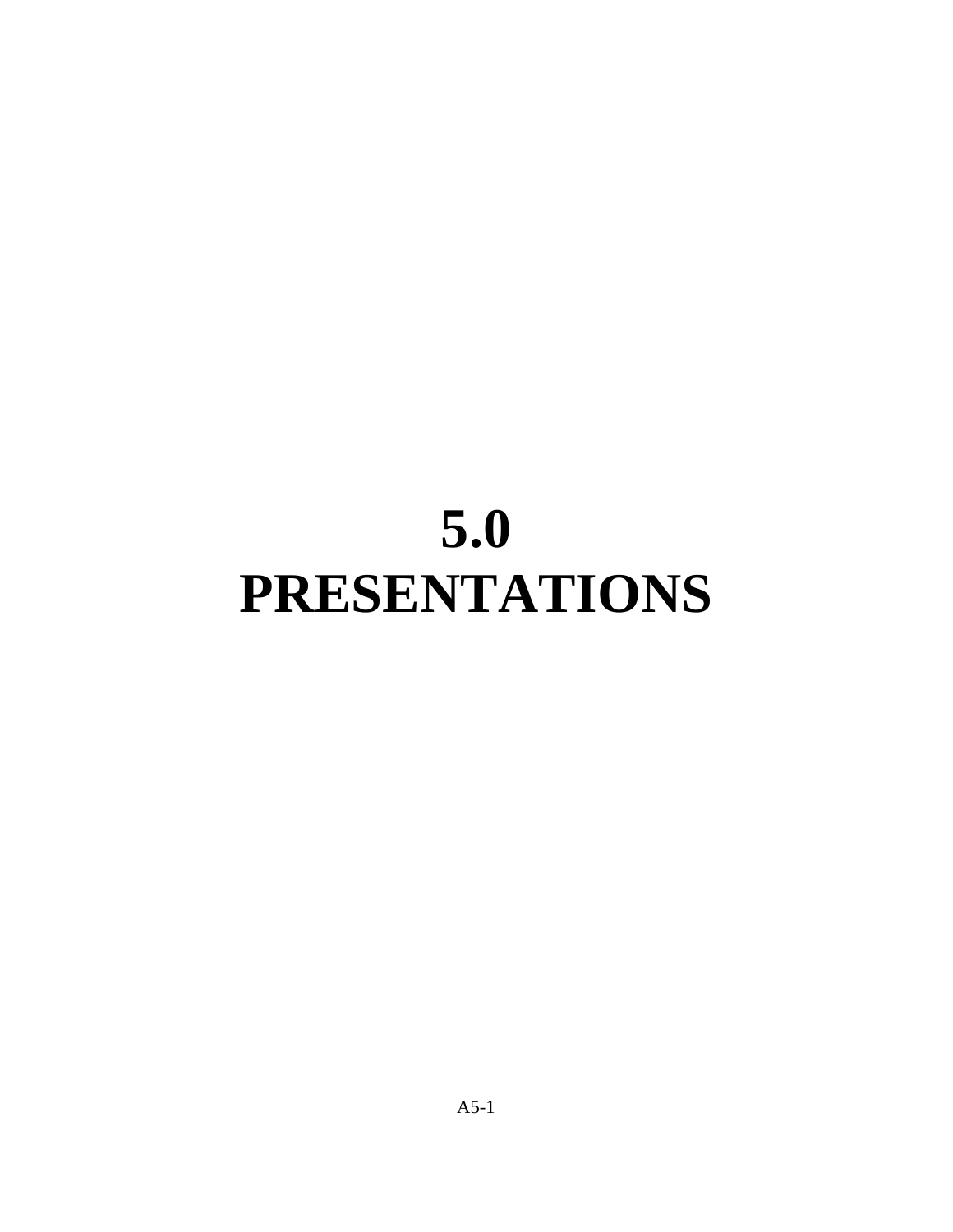# **5.0 PRESENTATIONS**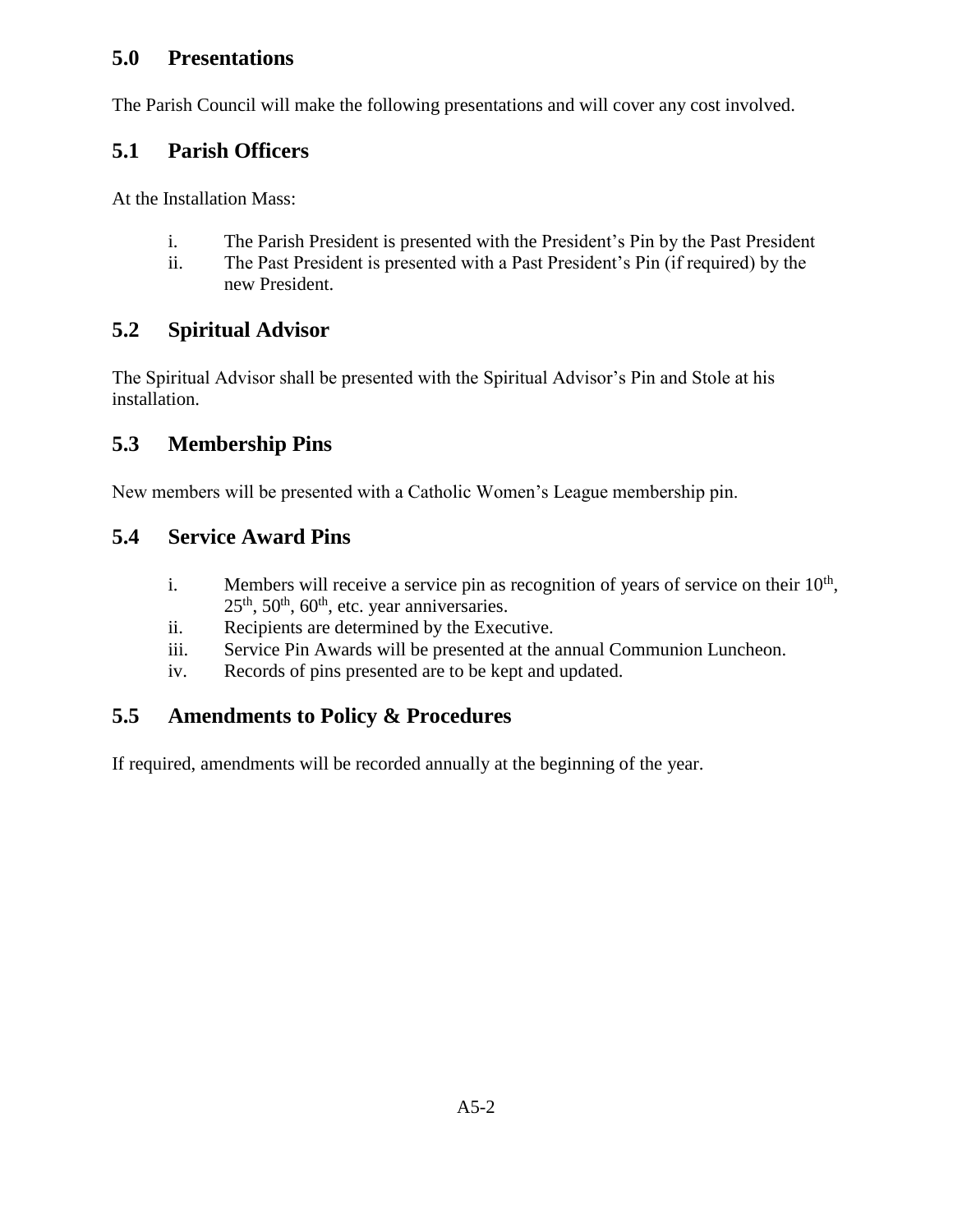#### **5.0 Presentations**

The Parish Council will make the following presentations and will cover any cost involved.

#### **5.1 Parish Officers**

At the Installation Mass:

- i. The Parish President is presented with the President's Pin by the Past President
- ii. The Past President is presented with a Past President's Pin (if required) by the new President.

#### **5.2 Spiritual Advisor**

The Spiritual Advisor shall be presented with the Spiritual Advisor's Pin and Stole at his installation.

# **5.3 Membership Pins**

New members will be presented with a Catholic Women's League membership pin.

#### **5.4 Service Award Pins**

- i. Members will receive a service pin as recognition of years of service on their  $10<sup>th</sup>$ ,  $25<sup>th</sup>$ ,  $50<sup>th</sup>$ ,  $60<sup>th</sup>$ , etc. year anniversaries.
- ii. Recipients are determined by the Executive.
- iii. Service Pin Awards will be presented at the annual Communion Luncheon.
- iv. Records of pins presented are to be kept and updated.

#### **5.5 Amendments to Policy & Procedures**

If required, amendments will be recorded annually at the beginning of the year.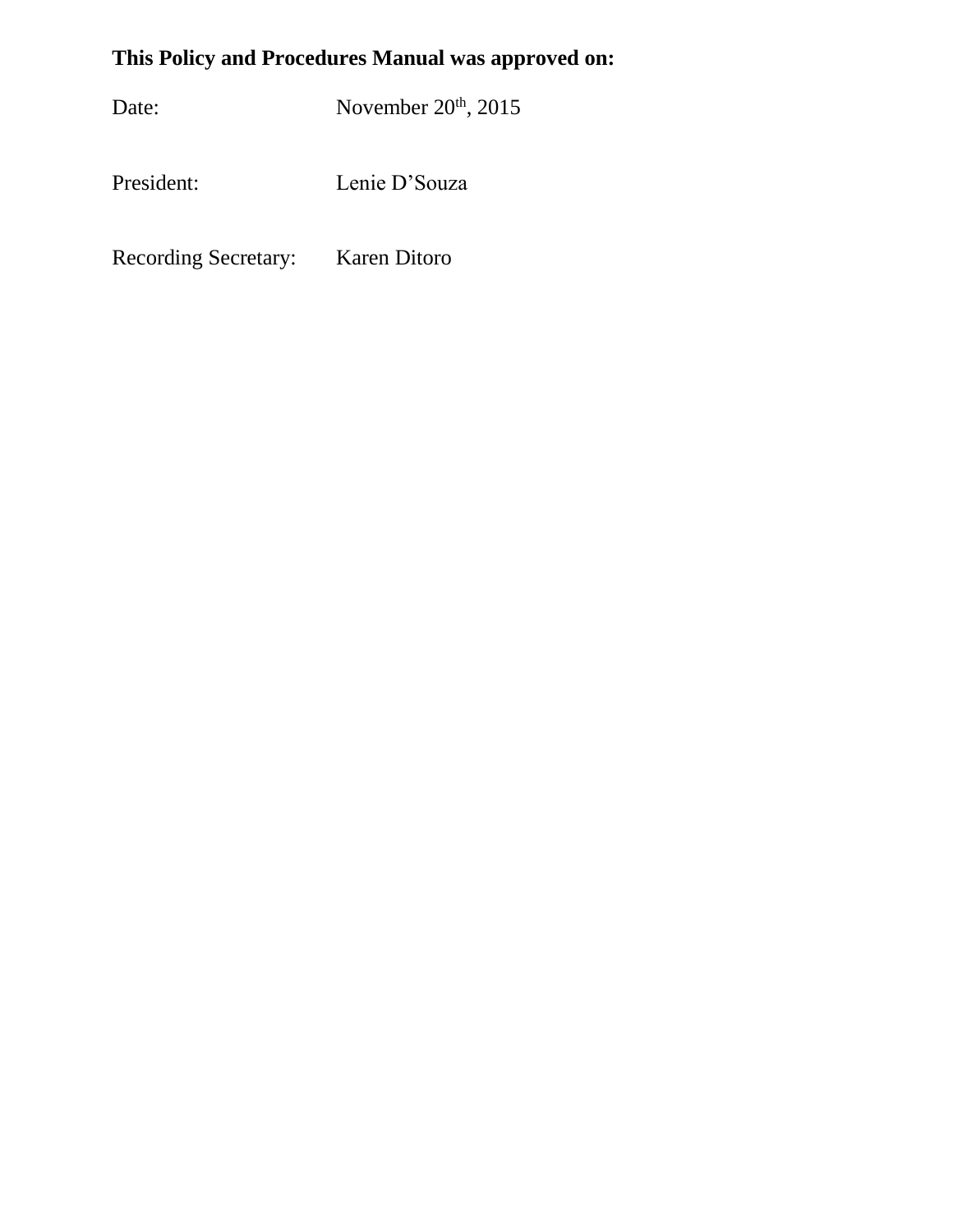# **This Policy and Procedures Manual was approved on:**

Date: November 20<sup>th</sup>, 2015

President: Lenie D'Souza

Recording Secretary: Karen Ditoro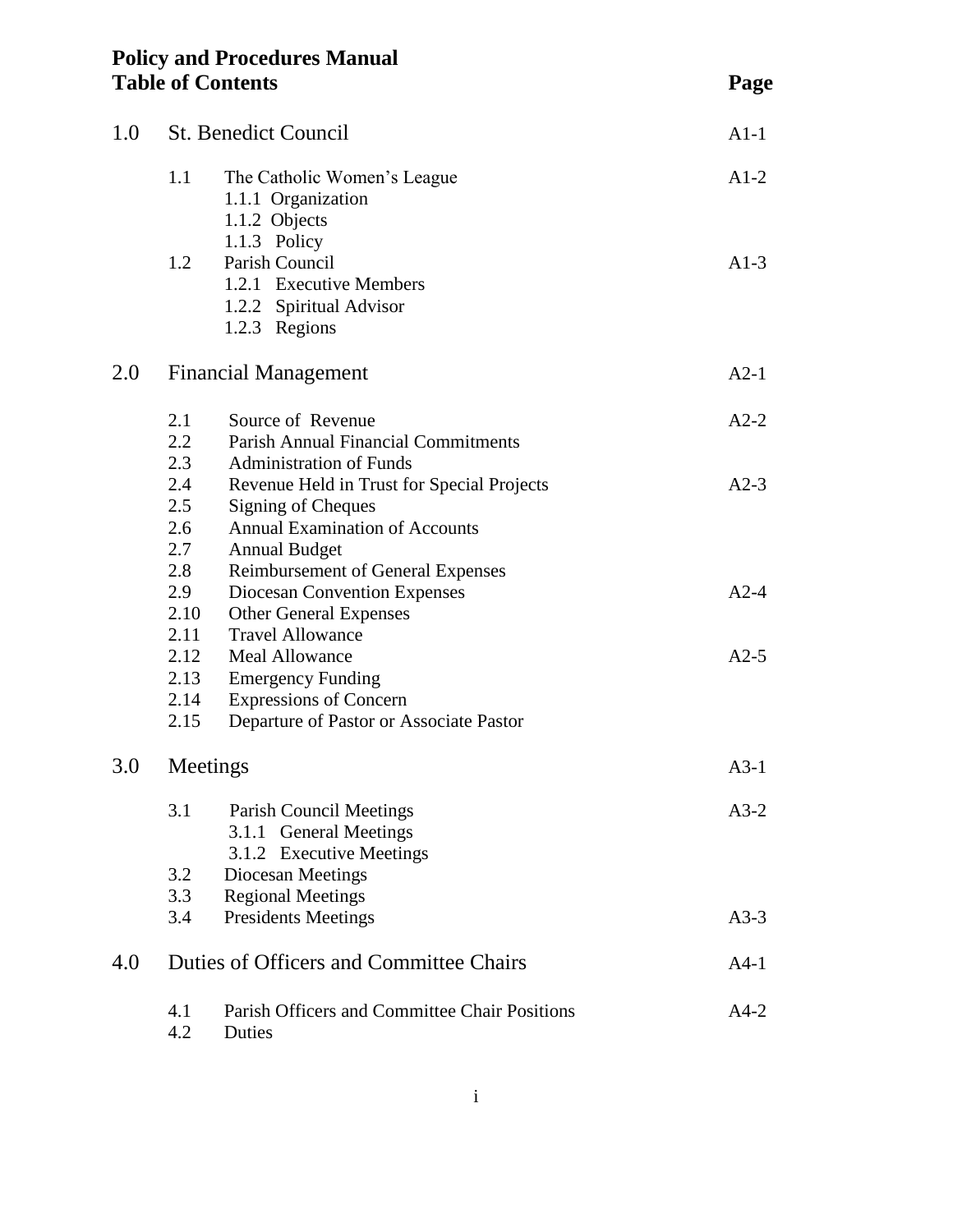| <b>Policy and Procedures Manual</b> |      |
|-------------------------------------|------|
| <b>Table of Contents</b>            | Page |

| 1.0 | <b>St. Benedict Council</b>     |                                                                                                                                                                               | $A1-1$ |
|-----|---------------------------------|-------------------------------------------------------------------------------------------------------------------------------------------------------------------------------|--------|
|     | 1.1                             | The Catholic Women's League<br>1.1.1 Organization<br>1.1.2 Objects<br>1.1.3 Policy                                                                                            | $A1-2$ |
|     | 1.2                             | Parish Council<br>1.2.1 Executive Members<br>1.2.2 Spiritual Advisor<br>1.2.3 Regions                                                                                         | $A1-3$ |
| 2.0 |                                 | <b>Financial Management</b>                                                                                                                                                   | $A2-1$ |
|     | 2.1<br>2.2<br>2.3               | Source of Revenue<br><b>Parish Annual Financial Commitments</b><br><b>Administration of Funds</b>                                                                             | $A2-2$ |
|     | 2.4<br>2.5<br>2.6<br>2.7<br>2.8 | Revenue Held in Trust for Special Projects<br>Signing of Cheques<br><b>Annual Examination of Accounts</b><br><b>Annual Budget</b><br><b>Reimbursement of General Expenses</b> | $A2-3$ |
|     | 2.9<br>2.10<br>2.11             | Diocesan Convention Expenses<br><b>Other General Expenses</b><br><b>Travel Allowance</b>                                                                                      | $A2-4$ |
|     | 2.12<br>2.13<br>2.14<br>2.15    | <b>Meal Allowance</b><br><b>Emergency Funding</b><br><b>Expressions of Concern</b><br>Departure of Pastor or Associate Pastor                                                 | $A2-5$ |
| 3.0 | Meetings                        |                                                                                                                                                                               | $A3-1$ |
|     | 3.1                             | Parish Council Meetings<br>3.1.1 General Meetings<br>3.1.2 Executive Meetings                                                                                                 | $A3-2$ |
|     | 3.2<br>3.3                      | Diocesan Meetings<br><b>Regional Meetings</b>                                                                                                                                 |        |
|     | 3.4                             | <b>Presidents Meetings</b>                                                                                                                                                    | $A3-3$ |
| 4.0 |                                 | Duties of Officers and Committee Chairs                                                                                                                                       | $A4-1$ |
|     | 4.1<br>4.2                      | Parish Officers and Committee Chair Positions<br>Duties                                                                                                                       | $A4-2$ |